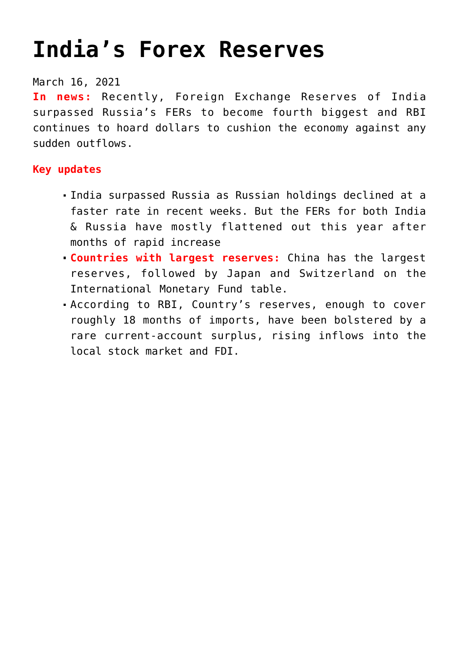# **[India's Forex Reserves](https://journalsofindia.com/indias-forex-reserves/)**

#### March 16, 2021

**In news:** Recently, Foreign Exchange Reserves of India surpassed Russia's FERs to become fourth biggest and RBI continues to hoard dollars to cushion the economy against any sudden outflows.

### **Key updates**

- India surpassed Russia as Russian holdings declined at a faster rate in recent weeks. But the FERs for both India & Russia have mostly flattened out this year after months of rapid increase
- **Countries with largest reserves:** China has the largest reserves, followed by Japan and Switzerland on the International Monetary Fund table.
- According to RBI, Country's reserves, enough to cover roughly 18 months of imports, have been bolstered by a rare current-account surplus, rising inflows into the local stock market and FDI.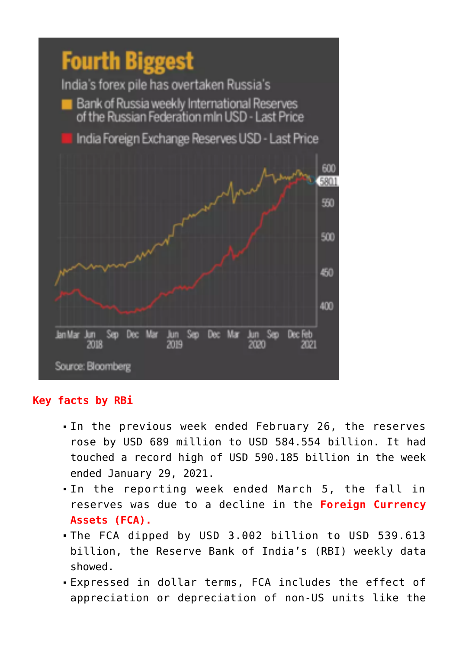

### **Key facts by RBi**

- In the previous week ended February 26, the reserves rose by USD 689 million to USD 584.554 billion. It had touched a record high of USD 590.185 billion in the week ended January 29, 2021.
- In the reporting week ended March 5, the fall in reserves was due to a decline in the **Foreign Currency Assets (FCA).**
- The FCA dipped by USD 3.002 billion to USD 539.613 billion, the Reserve Bank of India's (RBI) weekly data showed.
- Expressed in dollar terms, FCA includes the effect of appreciation or depreciation of non-US units like the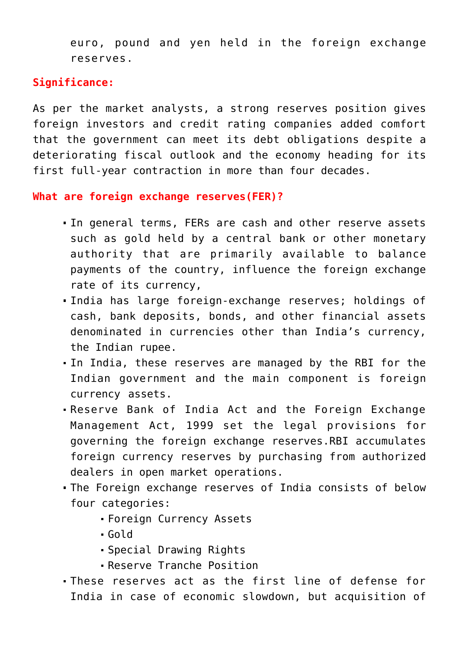euro, pound and yen held in the foreign exchange reserves.

## **Significance:**

As per the market analysts, a strong reserves position gives foreign investors and credit rating companies added comfort that the government can meet its debt obligations despite a deteriorating fiscal outlook and the economy heading for its first full-year contraction in more than four decades.

**What are foreign exchange reserves(FER)?**

- In general terms, FERs are cash and other reserve assets such as gold held by a central bank or other monetary authority that are primarily available to balance payments of the country, influence the foreign exchange rate of its currency,
- India has large foreign-exchange reserves; holdings of cash, bank deposits, bonds, and other financial assets denominated in currencies other than India's currency, the Indian rupee.
- In India, these reserves are managed by the RBI for the Indian government and the main component is foreign currency assets.
- Reserve Bank of India Act and the Foreign Exchange Management Act, 1999 set the legal provisions for governing the foreign exchange reserves.RBI accumulates foreign currency reserves by purchasing from authorized dealers in open market operations.
- The Foreign exchange reserves of India consists of below four categories:
	- Foreign Currency Assets
	- Gold
	- Special Drawing Rights
	- Reserve Tranche Position
- These reserves act as the first line of defense for India in case of economic slowdown, but acquisition of